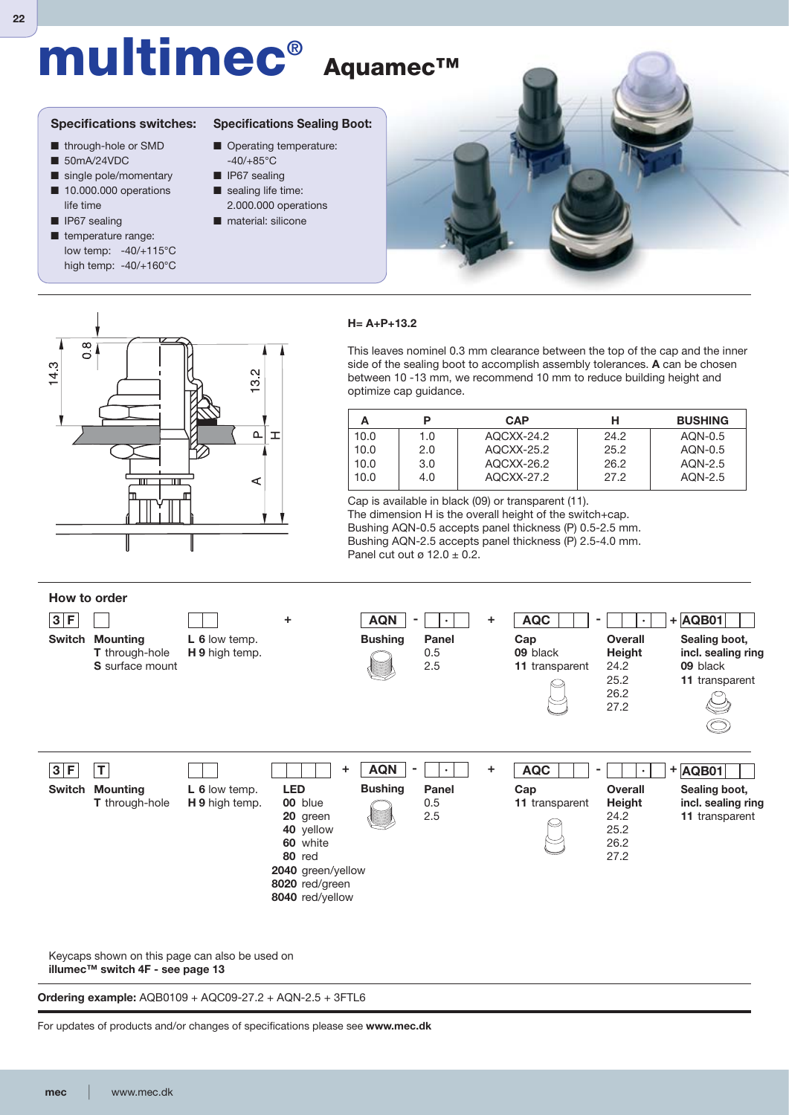# **multimec® Aquamec™**

#### **Specifications switches:**

- through-hole or SMD
- 50mA/24VDC
- single pole/momentary
- 10.000.000 operations life time
- IP67 sealing
- temperature range: low temp: -40/+115°C high temp: -40/+160°C



- Operating temperature: -40/+85°C
- IP67 sealing
- sealing life time: 2.000.000 operations
- material: silicone



## $\overline{6}$  $4.3$ N  $\tilde{\mathcal{C}}$  $\alpha$  $\overline{1}$ m ๔

#### **H= A+P+13.2**

This leaves nominel 0.3 mm clearance between the top of the cap and the inner side of the sealing boot to accomplish assembly tolerances. **A** can be chosen between 10 -13 mm, we recommend 10 mm to reduce building height and optimize cap guidance.

|      |     | <b>CAP</b> | н    | <b>BUSHING</b> |
|------|-----|------------|------|----------------|
| 10.0 | 1.0 | AQCXX-24.2 | 24.2 | AON-0.5        |
| 10.0 | 2.0 | AQCXX-25.2 | 25.2 | AON-0.5        |
| 10.0 | 3.0 | AQCXX-26.2 | 26.2 | AON-2.5        |
| 10.0 | 4.0 | AQCXX-27.2 | 27.2 | AON-2.5        |

Cap is available in black (09) or transparent (11). The dimension H is the overall height of the switch+cap. Bushing AQN-0.5 accepts panel thickness (P) 0.5-2.5 mm. Bushing AQN-2.5 accepts panel thickness (P) 2.5-4.0 mm. Panel cut out ø 12.0  $\pm$  0.2.



Keycaps shown on this page can also be used on **illumec™ switch 4F - see page 13**

**Ordering example:** AQB0109 + AQC09-27.2 + AQN-2.5 + 3FTL6

For updates of products and/or changes of specifications please see www.mec.dk